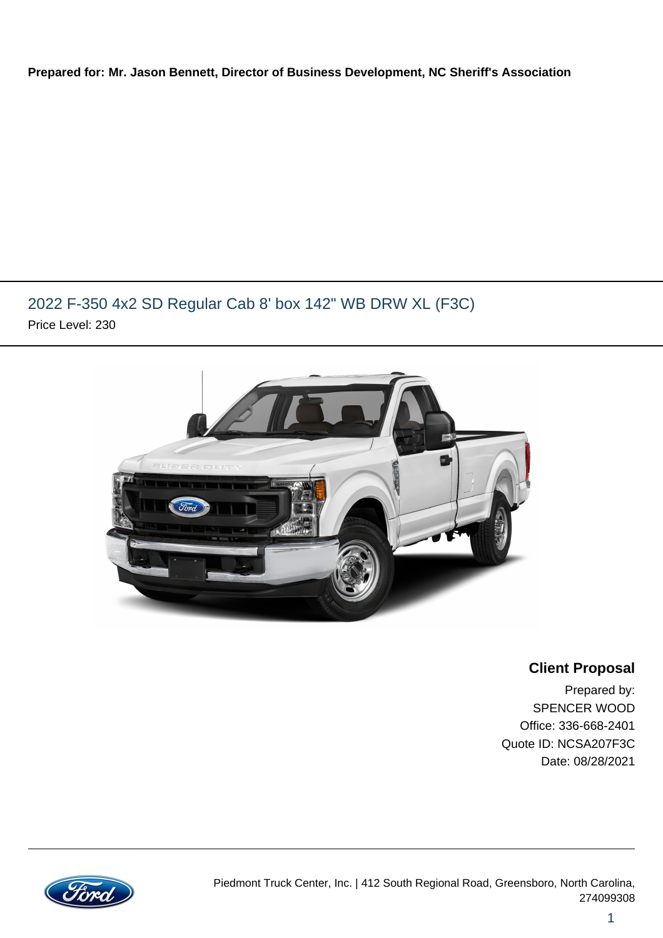#### **Prepared for: Mr. Jason Bennett, Director of Business Development, NC Sheriff's Association**

## 2022 F-350 4x2 SD Regular Cab 8' box 142" WB DRW XL (F3C) Price Level: 230



### **Client Proposal**

Prepared by: SPENCER WOOD Office: 336-668-2401 Quote ID: NCSA207F3C Date: 08/28/2021

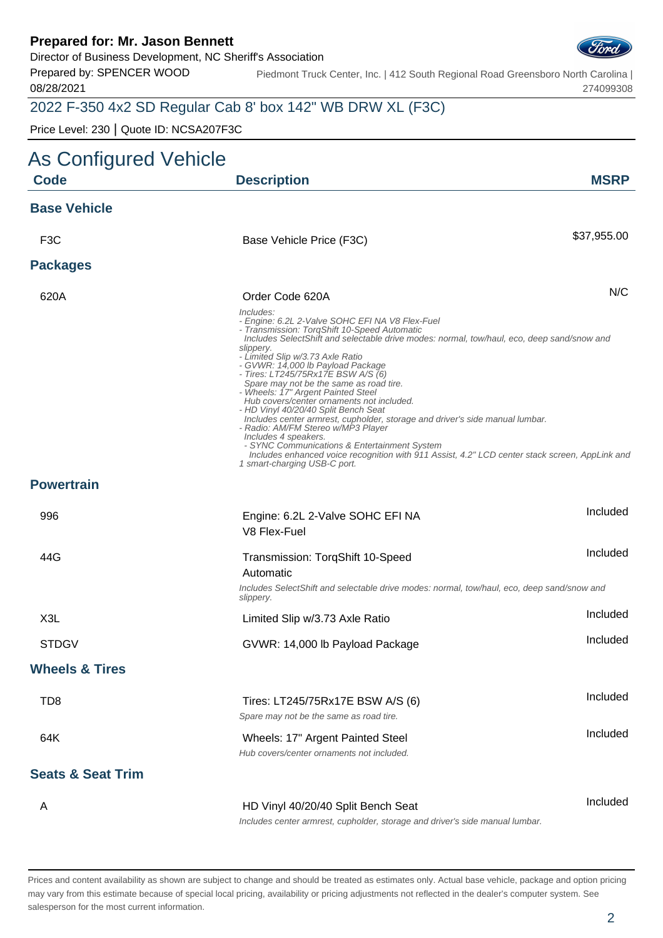Director of Business Development, NC Sheriff's Association

Prepared by: SPENCER WOOD 08/28/2021

Piedmont Truck Center, Inc. | 412 South Regional Road Greensboro North Carolina | 274099308

# 2022 F-350 4x2 SD Regular Cab 8' box 142" WB DRW XL (F3C)

Price Level: 230 | Quote ID: NCSA207F3C

| As Configured Vehicle        |                                                                                                                                                                                                                                                                                                                                                                                                                                                                                                                                                                               |             |
|------------------------------|-------------------------------------------------------------------------------------------------------------------------------------------------------------------------------------------------------------------------------------------------------------------------------------------------------------------------------------------------------------------------------------------------------------------------------------------------------------------------------------------------------------------------------------------------------------------------------|-------------|
| <b>Code</b>                  | <b>Description</b>                                                                                                                                                                                                                                                                                                                                                                                                                                                                                                                                                            | <b>MSRP</b> |
| <b>Base Vehicle</b>          |                                                                                                                                                                                                                                                                                                                                                                                                                                                                                                                                                                               |             |
| F <sub>3</sub> C             | Base Vehicle Price (F3C)                                                                                                                                                                                                                                                                                                                                                                                                                                                                                                                                                      | \$37,955.00 |
| <b>Packages</b>              |                                                                                                                                                                                                                                                                                                                                                                                                                                                                                                                                                                               |             |
| 620A                         | Order Code 620A<br>Includes:<br>- Engine: 6.2L 2-Valve SOHC EFI NA V8 Flex-Fuel<br>- Transmission: TorqShift 10-Speed Automatic<br>Includes SelectShift and selectable drive modes: normal, tow/haul, eco, deep sand/snow and<br>slippery.<br>- Limited Slip w/3.73 Axle Ratio                                                                                                                                                                                                                                                                                                | N/C         |
|                              | - GVWR: 14,000 lb Payload Package<br>- Tires: LT245/75Rx17E BSW A/S (6)<br>Spare may not be the same as road tire.<br>- Wheels: 17" Argent Painted Steel<br>Hub covers/center ornaments not included.<br>- HD Vinyl 40/20/40 Split Bench Seat<br>Includes center armrest, cupholder, storage and driver's side manual lumbar.<br>- Radio: AM/FM Stereo w/MP3 Player<br>Includes 4 speakers.<br>- SYNC Communications & Entertainment System<br>Includes enhanced voice recognition with 911 Assist, 4.2" LCD center stack screen, AppLink and<br>1 smart-charging USB-C port. |             |
| <b>Powertrain</b>            |                                                                                                                                                                                                                                                                                                                                                                                                                                                                                                                                                                               |             |
| 996                          | Engine: 6.2L 2-Valve SOHC EFI NA<br>V8 Flex-Fuel                                                                                                                                                                                                                                                                                                                                                                                                                                                                                                                              | Included    |
| 44G                          | Transmission: TorqShift 10-Speed<br>Automatic<br>Includes SelectShift and selectable drive modes: normal, tow/haul, eco, deep sand/snow and                                                                                                                                                                                                                                                                                                                                                                                                                                   | Included    |
| X3L                          | slippery.<br>Limited Slip w/3.73 Axle Ratio                                                                                                                                                                                                                                                                                                                                                                                                                                                                                                                                   | Included    |
| <b>STDGV</b>                 | GVWR: 14,000 lb Payload Package                                                                                                                                                                                                                                                                                                                                                                                                                                                                                                                                               | Included    |
| <b>Wheels &amp; Tires</b>    |                                                                                                                                                                                                                                                                                                                                                                                                                                                                                                                                                                               |             |
| TD <sub>8</sub>              | Tires: LT245/75Rx17E BSW A/S (6)<br>Spare may not be the same as road tire.                                                                                                                                                                                                                                                                                                                                                                                                                                                                                                   | Included    |
| 64K                          | Wheels: 17" Argent Painted Steel<br>Hub covers/center ornaments not included.                                                                                                                                                                                                                                                                                                                                                                                                                                                                                                 | Included    |
| <b>Seats &amp; Seat Trim</b> |                                                                                                                                                                                                                                                                                                                                                                                                                                                                                                                                                                               |             |
| A                            | HD Vinyl 40/20/40 Split Bench Seat<br>Includes center armrest, cupholder, storage and driver's side manual lumbar.                                                                                                                                                                                                                                                                                                                                                                                                                                                            | Included    |

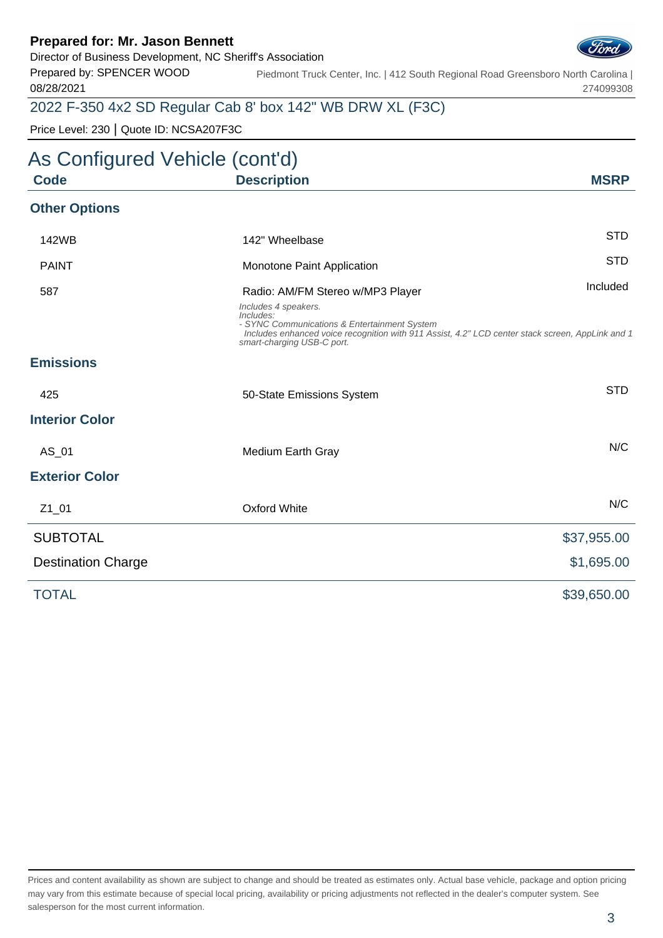Director of Business Development, NC Sheriff's Association

Prepared by: SPENCER WOOD 08/28/2021

Piedmont Truck Center, Inc. | 412 South Regional Road Greensboro North Carolina | 274099308

## 2022 F-350 4x2 SD Regular Cab 8' box 142" WB DRW XL (F3C)

Price Level: 230 | Quote ID: NCSA207F3C

# As Configured Vehicle (cont'd) **Code Description MSRP Other Options** 142WB 142" Wheelbase STD PAINT **STD** Monotone Paint Application 587 **Radio: AM/FM Stereo w/MP3 Player** Included Included Includes 4 speakers. Includes: - SYNC Communications & Entertainment System Includes enhanced voice recognition with 911 Assist, 4.2" LCD center stack screen, AppLink and 1 smart-charging USB-C port. **Emissions** 425 **50-State Emissions System** System STD **Interior Color** AS 01 Medium Earth Gray Note 2012 and 2012 MC **Exterior Color** Z1\_01 Oxford White N/C **SUBTOTAL** \$37,955.00 Destination Charge  $$1,695.00$ TOTAL \$39,650.00

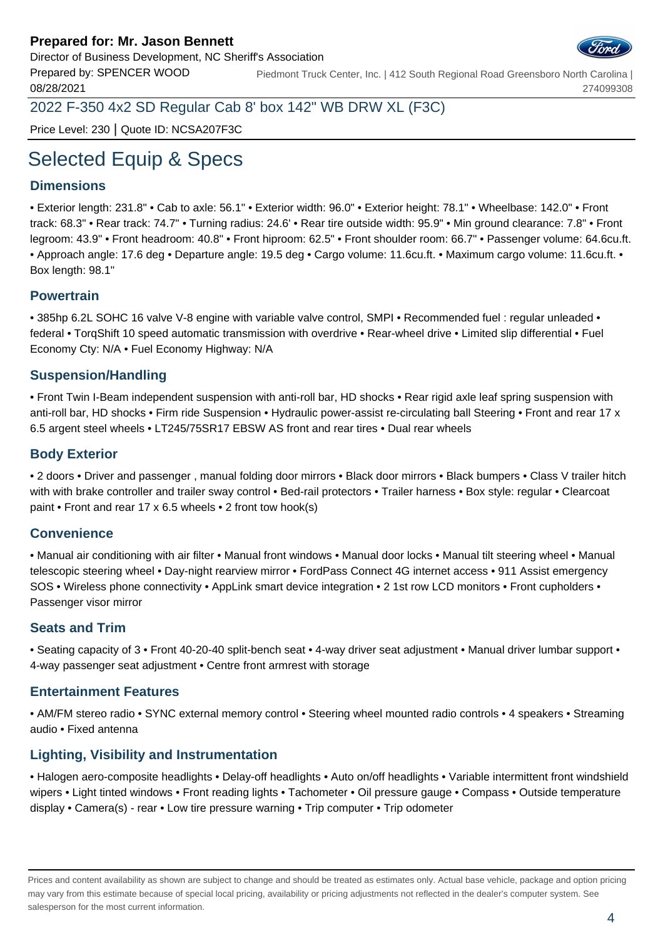

Prepared by: SPENCER WOOD 08/28/2021 Piedmont Truck Center, Inc. | 412 South Regional Road Greensboro North Carolina | 274099308

2022 F-350 4x2 SD Regular Cab 8' box 142" WB DRW XL (F3C)

Price Level: 230 | Quote ID: NCSA207F3C

# Selected Equip & Specs

### **Dimensions**

• Exterior length: 231.8" • Cab to axle: 56.1" • Exterior width: 96.0" • Exterior height: 78.1" • Wheelbase: 142.0" • Front track: 68.3" • Rear track: 74.7" • Turning radius: 24.6' • Rear tire outside width: 95.9" • Min ground clearance: 7.8" • Front legroom: 43.9" • Front headroom: 40.8" • Front hiproom: 62.5" • Front shoulder room: 66.7" • Passenger volume: 64.6cu.ft. • Approach angle: 17.6 deg • Departure angle: 19.5 deg • Cargo volume: 11.6cu.ft. • Maximum cargo volume: 11.6cu.ft. • Box length: 98.1"

### **Powertrain**

• 385hp 6.2L SOHC 16 valve V-8 engine with variable valve control, SMPI • Recommended fuel : regular unleaded • federal • TorqShift 10 speed automatic transmission with overdrive • Rear-wheel drive • Limited slip differential • Fuel Economy Cty: N/A • Fuel Economy Highway: N/A

### **Suspension/Handling**

• Front Twin I-Beam independent suspension with anti-roll bar, HD shocks • Rear rigid axle leaf spring suspension with anti-roll bar, HD shocks • Firm ride Suspension • Hydraulic power-assist re-circulating ball Steering • Front and rear 17 x 6.5 argent steel wheels • LT245/75SR17 EBSW AS front and rear tires • Dual rear wheels

### **Body Exterior**

• 2 doors • Driver and passenger , manual folding door mirrors • Black door mirrors • Black bumpers • Class V trailer hitch with with brake controller and trailer sway control • Bed-rail protectors • Trailer harness • Box style: regular • Clearcoat paint • Front and rear 17 x 6.5 wheels • 2 front tow hook(s)

### **Convenience**

• Manual air conditioning with air filter • Manual front windows • Manual door locks • Manual tilt steering wheel • Manual telescopic steering wheel • Day-night rearview mirror • FordPass Connect 4G internet access • 911 Assist emergency SOS • Wireless phone connectivity • AppLink smart device integration • 2 1st row LCD monitors • Front cupholders • Passenger visor mirror

#### **Seats and Trim**

• Seating capacity of 3 • Front 40-20-40 split-bench seat • 4-way driver seat adjustment • Manual driver lumbar support • 4-way passenger seat adjustment • Centre front armrest with storage

### **Entertainment Features**

• AM/FM stereo radio • SYNC external memory control • Steering wheel mounted radio controls • 4 speakers • Streaming audio • Fixed antenna

### **Lighting, Visibility and Instrumentation**

• Halogen aero-composite headlights • Delay-off headlights • Auto on/off headlights • Variable intermittent front windshield wipers • Light tinted windows • Front reading lights • Tachometer • Oil pressure gauge • Compass • Outside temperature display • Camera(s) - rear • Low tire pressure warning • Trip computer • Trip odometer

Prices and content availability as shown are subject to change and should be treated as estimates only. Actual base vehicle, package and option pricing may vary from this estimate because of special local pricing, availability or pricing adjustments not reflected in the dealer's computer system. See salesperson for the most current information.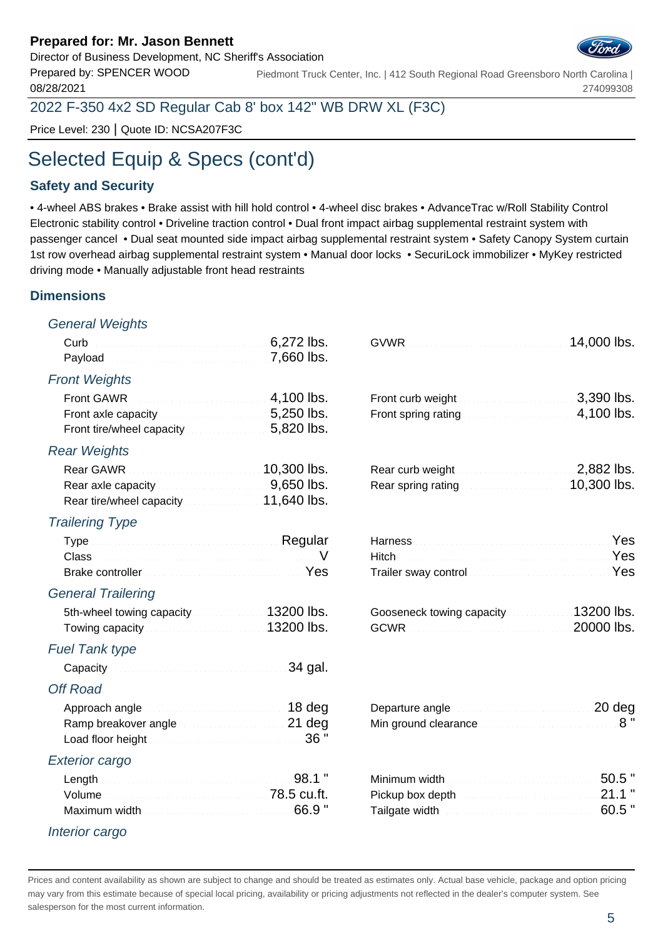Director of Business Development, NC Sheriff's Association

Prepared by: SPENCER WOOD 08/28/2021 Piedmont Truck Center, Inc. | 412 South Regional Road Greensboro North Carolina | 274099308

2022 F-350 4x2 SD Regular Cab 8' box 142" WB DRW XL (F3C)

Price Level: 230 | Quote ID: NCSA207F3C

# Selected Equip & Specs (cont'd)

### **Safety and Security**

• 4-wheel ABS brakes • Brake assist with hill hold control • 4-wheel disc brakes • AdvanceTrac w/Roll Stability Control Electronic stability control • Driveline traction control • Dual front impact airbag supplemental restraint system with passenger cancel • Dual seat mounted side impact airbag supplemental restraint system • Safety Canopy System curtain 1st row overhead airbag supplemental restraint system • Manual door locks • SecuriLock immobilizer • MyKey restricted driving mode • Manually adjustable front head restraints

### **Dimensions**

#### General Weights

|                                                                                                                                    | 6,272 lbs.<br>7,660 lbs.               |                                                                                                                                                                                                                                                                                                                |                              |
|------------------------------------------------------------------------------------------------------------------------------------|----------------------------------------|----------------------------------------------------------------------------------------------------------------------------------------------------------------------------------------------------------------------------------------------------------------------------------------------------------------|------------------------------|
| <b>Front Weights</b>                                                                                                               |                                        |                                                                                                                                                                                                                                                                                                                |                              |
| Front GAWR.<br>Front tire/wheel capacity [11] [11] Front tire/wheel capacity                                                       | 4,100 lbs.<br>5,250 lbs.<br>5,820 lbs. | Front curb weight <b>Election Communication</b><br>Front spring rating <b>Exercise 2008</b> 2010 105.                                                                                                                                                                                                          | 3,390 lbs.                   |
| <b>Rear Weights</b>                                                                                                                |                                        |                                                                                                                                                                                                                                                                                                                |                              |
| Rear axle capacity <b>Exercise 2008</b> 10.000 MS.<br>Rear tire/wheel capacity <b>Constant 11,640</b> lbs.                         |                                        | Rear curb weight <b>Exercise 2,882</b> lbs.<br>Rear spring rating <b>Election Control 10,300 lbs.</b>                                                                                                                                                                                                          |                              |
| <b>Trailering Type</b>                                                                                                             |                                        |                                                                                                                                                                                                                                                                                                                |                              |
| Type <b>Manual Communication</b> Regular<br>Brake controller <b>Election Controller</b> Ves                                        |                                        | Harness <b>Market Barnet Barnet Barnet Barnet Barnet Barnet Barnet Barnet Barnet Barnet Barnet Barnet Barnet Barnet Barnet Barnet Barnet Barnet Barnet Barnet Barnet Barnet Barnet Barnet Barnet Barnet Barnet Barnet Barnet Bar</b><br>Hitch Yes<br>Trailer sway control <b>Constitution Constitution</b> Yes |                              |
| <b>General Trailering</b>                                                                                                          |                                        |                                                                                                                                                                                                                                                                                                                |                              |
| 5th-wheel towing capacity <b>State 200 State 200 State 200 State</b> 313200 lbs.<br>Towing capacity <b>Constitution</b> 13200 lbs. |                                        | Gooseneck towing capacity                                                                                                                                                                                                                                                                                      | 13200 lbs.<br>20000 lbs.     |
| <b>Fuel Tank type</b>                                                                                                              |                                        |                                                                                                                                                                                                                                                                                                                |                              |
|                                                                                                                                    | 34 gal.                                |                                                                                                                                                                                                                                                                                                                |                              |
| <b>Off Road</b>                                                                                                                    |                                        |                                                                                                                                                                                                                                                                                                                |                              |
| Approach angle <b>continued and all angles</b> 18 deg<br>Ramp breakover angle                                                      |                                        | Departure angle <b>continuum and all 20 deg</b><br>Min ground clearance <b>Minimizing Sites</b> 8 "                                                                                                                                                                                                            |                              |
| <b>Exterior cargo</b>                                                                                                              |                                        |                                                                                                                                                                                                                                                                                                                |                              |
| Volume <b>Manual Communication</b> 78.5 cu.ft.                                                                                     | 98.1 "<br>66.9"                        |                                                                                                                                                                                                                                                                                                                | $50.5$ "<br>21.1<br>$60.5$ " |
| Interior cargo                                                                                                                     |                                        |                                                                                                                                                                                                                                                                                                                |                              |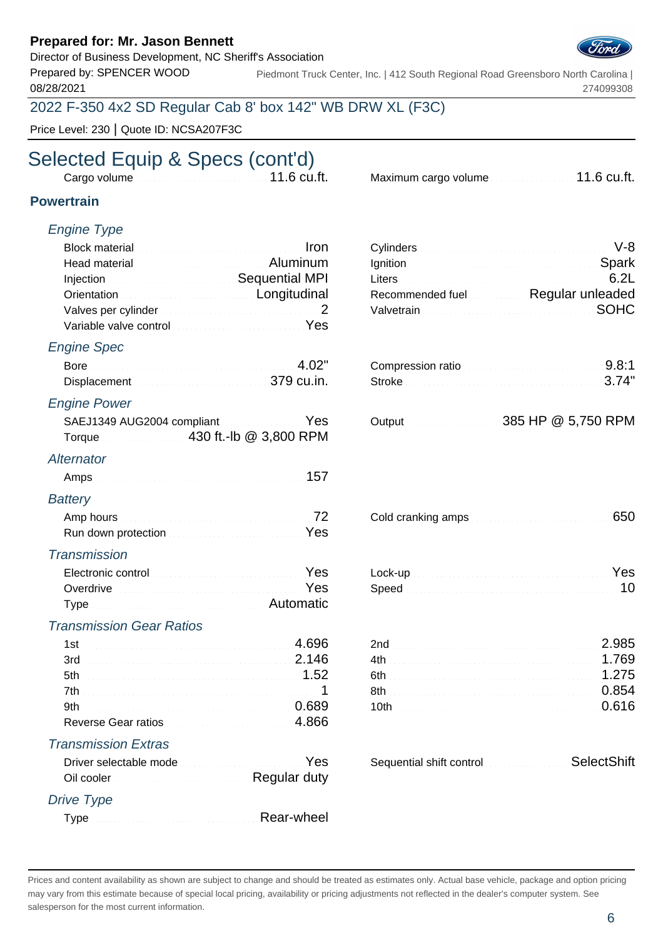Director of Business Development, NC Sheriff's Association

Prepared by: SPENCER WOOD 08/28/2021

Piedmont Truck Center, Inc. | 412 South Regional Road Greensboro North Carolina | 274099308

### 2022 F-350 4x2 SD Regular Cab 8' box 142" WB DRW XL (F3C)

Price Level: 230 | Quote ID: NCSA207F3C

# Selected Equip & Specs (cont'd)

Cargo volume 11.1 cu.ft. 11.6 cu.ft. Maximum cargo volume 11.6 cu.ft.

### **Powertrain**

### Engine Type

| Block material material and continuum and continuum and continuum and continuum and continuum and continuum and | <b>Iron</b> | Cylinders V-8                        |             |
|-----------------------------------------------------------------------------------------------------------------|-------------|--------------------------------------|-------------|
| Head material Material Aluminum                                                                                 |             | Ignition Spark                       |             |
| Injection <b>Manufacture Community</b> Sequential MPI                                                           |             | Liters 6.2L                          |             |
| Orientation <b>Construction Construction Construction</b>                                                       |             | Recommended fuel Regular unleaded    |             |
| Valves per cylinder Material Communication 2                                                                    |             |                                      | <b>SOHC</b> |
| Variable valve control manufacturers and the Yes                                                                |             |                                      |             |
| <b>Engine Spec</b>                                                                                              |             |                                      |             |
| Bore 4.02"                                                                                                      |             | Compression ratio                    |             |
| Displacement Material Communication 379 cu.in.                                                                  |             |                                      | 3.74"       |
| <b>Engine Power</b>                                                                                             |             |                                      |             |
| SAEJ1349 AUG2004 compliant Yes<br>Torque 430 ft.-lb @ 3,800 RPM                                                 |             |                                      |             |
| Alternator                                                                                                      |             |                                      |             |
| Amps 157                                                                                                        |             |                                      |             |
| <b>Battery</b>                                                                                                  |             |                                      |             |
|                                                                                                                 |             |                                      | 650         |
| Run down protection <b>Election</b> 2008 2014 11:00 PM                                                          |             |                                      |             |
| <b>Transmission</b>                                                                                             |             |                                      |             |
| Electronic control <b>Electronic Control</b>                                                                    |             | Lock-up New Yes                      |             |
| Overdrive Manual Account of the Manual Account of Test                                                          |             |                                      |             |
| Type Manual Communication and Automatic                                                                         |             |                                      |             |
| <b>Transmission Gear Ratios</b>                                                                                 |             |                                      |             |
| 1st 4.696                                                                                                       |             |                                      | 2.985       |
| 3rd 2.146                                                                                                       |             | 4th 1.769                            |             |
|                                                                                                                 |             | 6th 1.275                            |             |
|                                                                                                                 |             | 8th 0.854                            |             |
| 9th 0.689                                                                                                       |             | 10th 0.616                           |             |
| Reverse Gear ratios                                                                                             |             |                                      |             |
| <b>Transmission Extras</b>                                                                                      |             |                                      |             |
| Driver selectable mode                                                                                          | Yes         | Sequential shift control SelectShift |             |
| Oil cooler <b>Committee Cooler Cooler Cooler Cooler</b> Cooler Cooler Cooler Cooler Cooler                      |             |                                      |             |
| Drive Type                                                                                                      |             |                                      |             |
| Type <b>Manual Community</b> Rear-wheel                                                                         |             |                                      |             |
|                                                                                                                 |             |                                      |             |

| Ignition Spark                    |  |
|-----------------------------------|--|
|                                   |  |
| Recommended fuel Regular unleaded |  |
|                                   |  |
|                                   |  |

| Compression ratio |  |
|-------------------|--|
| Stroke 3.74"      |  |
|                   |  |

|  | 385 HP @ 5,750 RPM |
|--|--------------------|
|  |                    |

|  | Cold cranking amps and contact the cold cranking amps |  |
|--|-------------------------------------------------------|--|
|--|-------------------------------------------------------|--|

| 2.985 |  |
|-------|--|
|       |  |
|       |  |
|       |  |
|       |  |
|       |  |

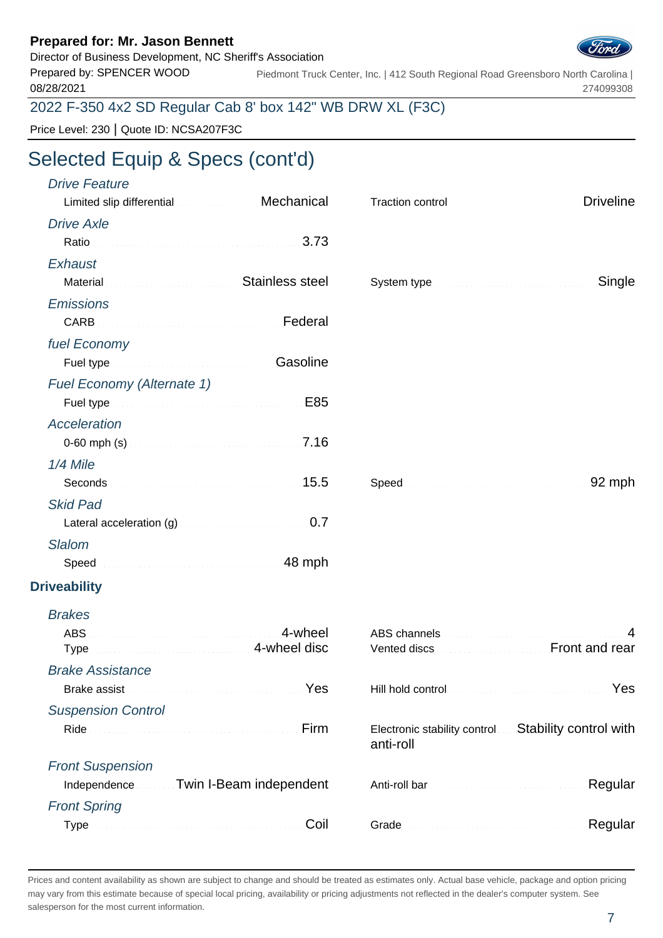### Director of Business Development, NC Sheriff's Association



Prepared by: SPENCER WOOD 08/28/2021 Piedmont Truck Center, Inc. | 412 South Regional Road Greensboro North Carolina | 274099308

2022 F-350 4x2 SD Regular Cab 8' box 142" WB DRW XL (F3C)

Price Level: 230 | Quote ID: NCSA207F3C

**D** 

# Selected Equip & Specs (cont'd)

| <b>Drive Feature</b>              | Limited slip differential Mechanical                                                                                                                                   |           | <b>Driveline</b>                                      |
|-----------------------------------|------------------------------------------------------------------------------------------------------------------------------------------------------------------------|-----------|-------------------------------------------------------|
| <b>Drive Axle</b>                 |                                                                                                                                                                        |           |                                                       |
|                                   |                                                                                                                                                                        |           |                                                       |
| Exhaust                           |                                                                                                                                                                        |           |                                                       |
|                                   | Material Material Account of the Stainless steel                                                                                                                       |           | Single                                                |
| <b>Emissions</b>                  |                                                                                                                                                                        |           |                                                       |
|                                   | CARB <b>CARB CARB</b>                                                                                                                                                  |           |                                                       |
| fuel Economy                      |                                                                                                                                                                        |           |                                                       |
|                                   | Fuel type <b>Continuing the Continuing Casoline</b>                                                                                                                    |           |                                                       |
| <b>Fuel Economy (Alternate 1)</b> |                                                                                                                                                                        |           |                                                       |
|                                   |                                                                                                                                                                        |           |                                                       |
| <b>Acceleration</b>               |                                                                                                                                                                        |           |                                                       |
|                                   |                                                                                                                                                                        |           |                                                       |
| 1/4 Mile                          |                                                                                                                                                                        |           |                                                       |
|                                   |                                                                                                                                                                        |           | 92 mph                                                |
| <b>Skid Pad</b>                   |                                                                                                                                                                        |           |                                                       |
|                                   | Lateral acceleration (g) <b>Exercise 2008</b> 2017                                                                                                                     |           |                                                       |
| <b>Slalom</b>                     |                                                                                                                                                                        |           |                                                       |
|                                   | 48 mph                                                                                                                                                                 |           |                                                       |
| riveability                       |                                                                                                                                                                        |           |                                                       |
| <b>Brakes</b>                     |                                                                                                                                                                        |           |                                                       |
|                                   |                                                                                                                                                                        |           |                                                       |
|                                   | Type <b>Type Type Type Type Type Type Type Type Type Type Type Type Type Type Type Type Type Type Type Type Type Type Type Type Type Type Type Type Type Type Type</b> |           | Vented discs <b>Manual Community</b> Front and rear   |
| <b>Brake Assistance</b>           |                                                                                                                                                                        |           |                                                       |
|                                   | Brake assist March 2014 and State Brake assist                                                                                                                         |           | Hill hold control <b>Election Control</b> Press, 2014 |
| <b>Suspension Control</b>         |                                                                                                                                                                        |           |                                                       |
|                                   |                                                                                                                                                                        | anti-roll | Electronic stability control Stability control with   |
| <b>Front Suspension</b>           |                                                                                                                                                                        |           |                                                       |
| Independence                      | Twin I-Beam independent                                                                                                                                                |           | Regular                                               |
| <b>Front Spring</b>               |                                                                                                                                                                        |           |                                                       |
|                                   | Coil                                                                                                                                                                   |           | Regular                                               |
|                                   |                                                                                                                                                                        |           |                                                       |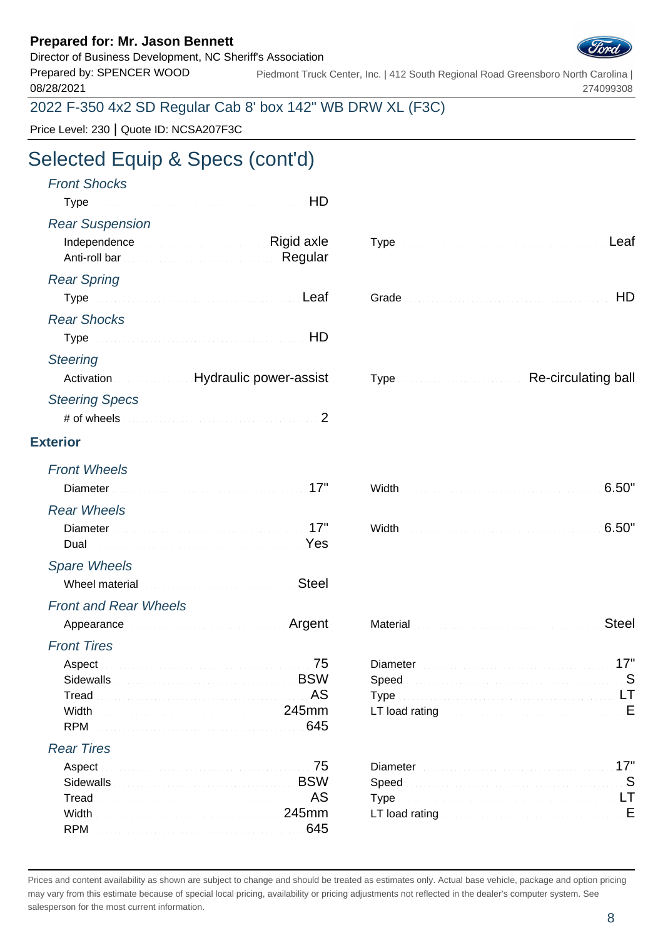### Director of Business Development, NC Sheriff's Association



Prepared by: SPENCER WOOD 08/28/2021 Piedmont Truck Center, Inc. | 412 South Regional Road Greensboro North Carolina | 274099308

2022 F-350 4x2 SD Regular Cab 8' box 142" WB DRW XL (F3C)

Price Level: 230 | Quote ID: NCSA207F3C

# Selected Equip & Specs (cont'd)

| <b>Front Shocks</b>                                                                                                  |                                                                                                                                                                                                                                      |                                                                                                                                                                                                                                                     |
|----------------------------------------------------------------------------------------------------------------------|--------------------------------------------------------------------------------------------------------------------------------------------------------------------------------------------------------------------------------------|-----------------------------------------------------------------------------------------------------------------------------------------------------------------------------------------------------------------------------------------------------|
| <b>Rear Suspension</b>                                                                                               |                                                                                                                                                                                                                                      |                                                                                                                                                                                                                                                     |
| Independence <b>Manual Community</b> Rigid axle                                                                      |                                                                                                                                                                                                                                      |                                                                                                                                                                                                                                                     |
| <b>Rear Spring</b>                                                                                                   |                                                                                                                                                                                                                                      |                                                                                                                                                                                                                                                     |
|                                                                                                                      | Leaf                                                                                                                                                                                                                                 | HD                                                                                                                                                                                                                                                  |
| <b>Rear Shocks</b>                                                                                                   |                                                                                                                                                                                                                                      |                                                                                                                                                                                                                                                     |
|                                                                                                                      | HD                                                                                                                                                                                                                                   |                                                                                                                                                                                                                                                     |
| <b>Steering</b>                                                                                                      |                                                                                                                                                                                                                                      |                                                                                                                                                                                                                                                     |
| Activation Museum Hydraulic power-assist                                                                             |                                                                                                                                                                                                                                      | Re-circulating ball                                                                                                                                                                                                                                 |
| <b>Steering Specs</b>                                                                                                |                                                                                                                                                                                                                                      |                                                                                                                                                                                                                                                     |
|                                                                                                                      | 2                                                                                                                                                                                                                                    |                                                                                                                                                                                                                                                     |
| <b>Exterior</b>                                                                                                      |                                                                                                                                                                                                                                      |                                                                                                                                                                                                                                                     |
| <b>Front Wheels</b>                                                                                                  |                                                                                                                                                                                                                                      |                                                                                                                                                                                                                                                     |
|                                                                                                                      |                                                                                                                                                                                                                                      | 6.50"                                                                                                                                                                                                                                               |
| <b>Rear Wheels</b>                                                                                                   |                                                                                                                                                                                                                                      |                                                                                                                                                                                                                                                     |
| Diameter Manual Manual Manual Manual Manual Manual Manual Manual Manual Manual Manual Manual Manual Manual Manual Ma |                                                                                                                                                                                                                                      | 6.50"                                                                                                                                                                                                                                               |
|                                                                                                                      |                                                                                                                                                                                                                                      |                                                                                                                                                                                                                                                     |
| <b>Spare Wheels</b>                                                                                                  |                                                                                                                                                                                                                                      |                                                                                                                                                                                                                                                     |
| Wheel material material and continuum and the state of the state of the state of the state of the state of the       | <b>Steel</b>                                                                                                                                                                                                                         |                                                                                                                                                                                                                                                     |
| <b>Front and Rear Wheels</b>                                                                                         |                                                                                                                                                                                                                                      |                                                                                                                                                                                                                                                     |
| Appearance <b>Appearance</b> Appearance <b>Appearance Appearance Appearance Appearance</b>                           |                                                                                                                                                                                                                                      | <b>Steel</b>                                                                                                                                                                                                                                        |
| <b>Front Tires</b>                                                                                                   |                                                                                                                                                                                                                                      |                                                                                                                                                                                                                                                     |
| Aspect 75                                                                                                            |                                                                                                                                                                                                                                      | Diameter 17"                                                                                                                                                                                                                                        |
|                                                                                                                      |                                                                                                                                                                                                                                      |                                                                                                                                                                                                                                                     |
| Tread<br>Width                                                                                                       | AS                                                                                                                                                                                                                                   | LT<br>Type.<br>LT load rating <b>Exercise Contract Contract Contract Contract Contract Contract Contract Contract Contract Contract Contract Contract Contract Contract Contract Contract Contract Contract Contract Contract Contract Contract</b> |
| <b>RPM</b>                                                                                                           | 645                                                                                                                                                                                                                                  |                                                                                                                                                                                                                                                     |
| <b>Rear Tires</b>                                                                                                    |                                                                                                                                                                                                                                      |                                                                                                                                                                                                                                                     |
| Aspect                                                                                                               | <u> 15 The Communication of the Second State of the Second State of the Second State of the Second State of the Second State of the Second State of the Second State of the Second State of the Second State of the Second State</u> | 17"                                                                                                                                                                                                                                                 |
| Sidewalls <b>EXAMPLE 2008</b> Sidewalls <b>EXAMPLE 2008</b>                                                          |                                                                                                                                                                                                                                      |                                                                                                                                                                                                                                                     |
| Tread                                                                                                                | AS                                                                                                                                                                                                                                   |                                                                                                                                                                                                                                                     |
| Width<br><b>RPM</b>                                                                                                  | 645                                                                                                                                                                                                                                  |                                                                                                                                                                                                                                                     |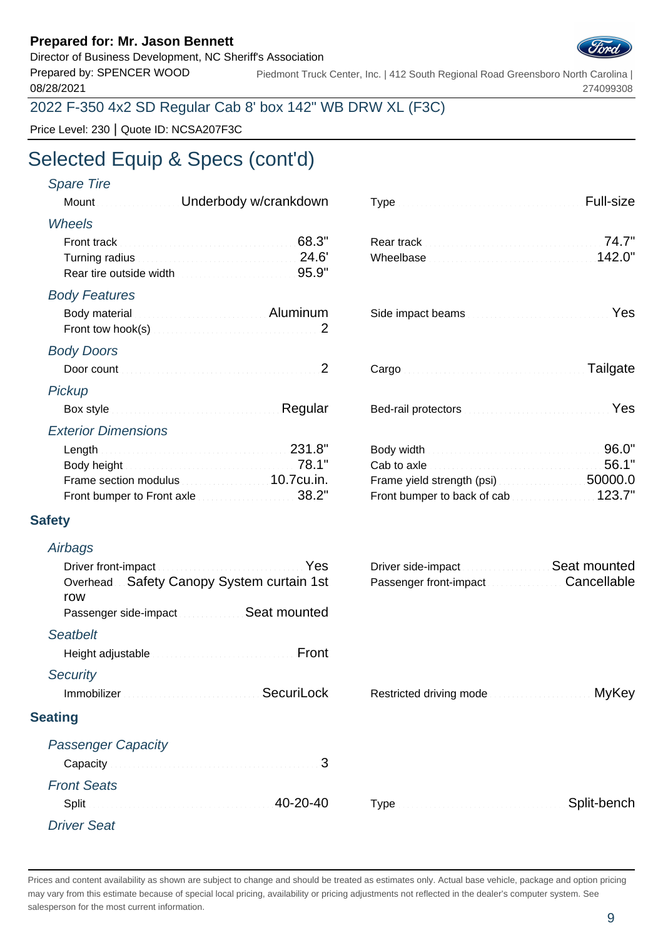Director of Business Development, NC Sheriff's Association



Prepared by: SPENCER WOOD 08/28/2021 Piedmont Truck Center, Inc. | 412 South Regional Road Greensboro North Carolina | 274099308

### 2022 F-350 4x2 SD Regular Cab 8' box 142" WB DRW XL (F3C)

Price Level: 230 | Quote ID: NCSA207F3C

# Selected Equip & Specs (cont'd)

# Spare Tire

| Underbody w/crankdown<br>Mount                                                                                                                                                                                                       |       | Full-size |
|--------------------------------------------------------------------------------------------------------------------------------------------------------------------------------------------------------------------------------------|-------|-----------|
| <b>Wheels</b>                                                                                                                                                                                                                        |       |           |
|                                                                                                                                                                                                                                      | 68.3" | 74.7"     |
| Turning radius and all and all and all and all and all and all and all and all and all and all and all and all and all and all and all and all and all and all and all and all and all and all and all and all and all and all       |       | 142.0"    |
| Rear tire outside width <b>Election Contract of State 195.9"</b>                                                                                                                                                                     |       |           |
| <b>Body Features</b>                                                                                                                                                                                                                 |       |           |
| Body material <b>Contract Contract Contract Contract Contract Contract Contract Contract Contract Contract Contract Contract Contract Contract Contract Contract Contract Contract Contract Contract Contract Contract Contract </b> |       | Yes       |
| Front tow hook(s) $\ldots$ . The set of the set of the set of the set of $2$                                                                                                                                                         |       |           |
| <b>Body Doors</b>                                                                                                                                                                                                                    |       |           |
|                                                                                                                                                                                                                                      |       | Tailgate  |
| Pickup                                                                                                                                                                                                                               |       |           |
| Regular                                                                                                                                                                                                                              |       | Yes       |
| <b>Exterior Dimensions</b>                                                                                                                                                                                                           |       |           |
| 231.8"                                                                                                                                                                                                                               |       | 96.0"     |

|                                                      | Cab to axle <b>contract the contract of the Cab</b> to axle contract the contract of the S6.1" |  |
|------------------------------------------------------|------------------------------------------------------------------------------------------------|--|
| Frame section modulus <b>Example 2018</b> 10.7cu.in. | Frame yield strength (psi)                                                                     |  |
| Front bumper to Front axle <b>Exercise 2008</b> .2"  | Front bumper to back of cab                                                                    |  |
|                                                      |                                                                                                |  |

### **Safety**

## **Airbags** Driver front-impact Material Message Driver side-impact Overhead Safety Canopy System curtain 1st row Passenger front-impact Cancellable Passenger side-impact Seat mounted **Seatbelt** Height adjustable From Height Front Bank and Height **Security** Immobilizer Security MyKey Restricted and MyKey Restricted and model model model model model model model model **Seating** Passenger Capacity Capacity 3 Front Seats

| Rear track $\sim$ . The set of the set of the set of the set of $74.7"$                                                                                                                          |               |
|--------------------------------------------------------------------------------------------------------------------------------------------------------------------------------------------------|---------------|
| Side impact beams <b>Side impact</b> beams and the series of the series of the Side impact beams                                                                                                 |               |
| Cargo <b>Martin Cargo Accidental Cargo Accidents</b> Cargo Accidents Cargo Accidents Cargo Accidents Cargo Accidents C                                                                           |               |
| Bed-rail protectors <b>Constitution Constitution</b> Yes                                                                                                                                         |               |
| Body width $\qquad \qquad \qquad 96.0"$<br>Cab to axle with a substitution of $56.1"$<br>Frame yield strength (psi) $\sim$ 50000.0<br>Front bumper to back of cab $\ldots$ . The set of $123.7"$ |               |
| Driver side-imnact                                                                                                                                                                               | Seat mounted. |

Mount Underbody w/crankdown Type Full-size

| eat mounted         |                         |  |
|---------------------|-------------------------|--|
| <u> Eront Front</u> |                         |  |
| SecuriLock          | Restricted driving mode |  |
|                     |                         |  |

Split Split 5 and Split-bench 3 and 40-20-40 Type Split-bench Split-bench Split-bench Split-bench

Driver Seat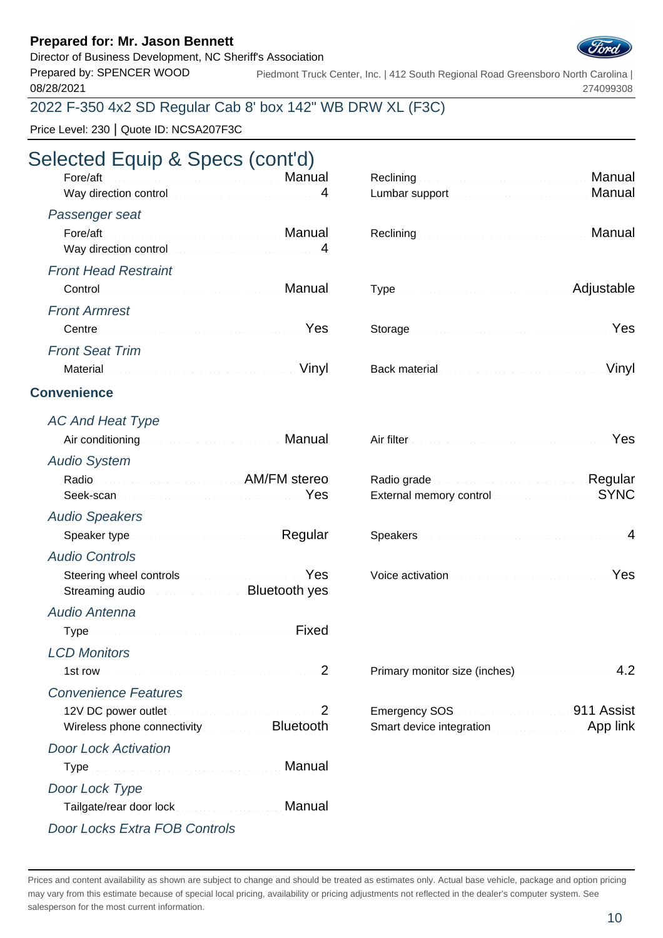### Director of Business Development, NC Sheriff's Association

Prepared by: SPENCER WOOD 08/28/2021

Piedmont Truck Center, Inc. | 412 South Regional Road Greensboro North Carolina | 274099308

### 2022 F-350 4x2 SD Regular Cab 8' box 142" WB DRW XL (F3C)

Price Level: 230 | Quote ID: NCSA207F3C

# Selected Equip & Specs (cont'd)

| Fore/aft <b>Executive Contract Contract Contract Contract Contract Contract Contract Contract Contract Contract Contract Contract Contract Contract Contract Contract Contract Contract Contract Contract Contract Contract Cont</b><br>Way direction control measurements and 4                                                               |        | Lumbar support Manual Manual Manual                                                                                                                                                                                                  | Manual |
|------------------------------------------------------------------------------------------------------------------------------------------------------------------------------------------------------------------------------------------------------------------------------------------------------------------------------------------------|--------|--------------------------------------------------------------------------------------------------------------------------------------------------------------------------------------------------------------------------------------|--------|
| Passenger seat                                                                                                                                                                                                                                                                                                                                 |        |                                                                                                                                                                                                                                      |        |
| Fore/aft<br>Manual Manual Albert Bander and Manual                                                                                                                                                                                                                                                                                             |        |                                                                                                                                                                                                                                      |        |
| Way direction control material control and 4                                                                                                                                                                                                                                                                                                   |        |                                                                                                                                                                                                                                      |        |
| <b>Front Head Restraint</b>                                                                                                                                                                                                                                                                                                                    |        |                                                                                                                                                                                                                                      |        |
|                                                                                                                                                                                                                                                                                                                                                | Manual | Type Adjustable and Adjustable                                                                                                                                                                                                       |        |
| <b>Front Armrest</b>                                                                                                                                                                                                                                                                                                                           |        |                                                                                                                                                                                                                                      |        |
| Centre Contra Communication of the Centre of Test                                                                                                                                                                                                                                                                                              |        |                                                                                                                                                                                                                                      | Yes    |
| <b>Front Seat Trim</b>                                                                                                                                                                                                                                                                                                                         |        |                                                                                                                                                                                                                                      |        |
|                                                                                                                                                                                                                                                                                                                                                | Vinyl  |                                                                                                                                                                                                                                      | Vinyl  |
| <b>Convenience</b>                                                                                                                                                                                                                                                                                                                             |        |                                                                                                                                                                                                                                      |        |
| <b>AC And Heat Type</b>                                                                                                                                                                                                                                                                                                                        |        |                                                                                                                                                                                                                                      |        |
| Air conditioning <b>Air Conditioning</b>                                                                                                                                                                                                                                                                                                       |        |                                                                                                                                                                                                                                      | Yes    |
| <b>Audio System</b>                                                                                                                                                                                                                                                                                                                            |        |                                                                                                                                                                                                                                      |        |
| Radio Radio AM/FM stereo                                                                                                                                                                                                                                                                                                                       |        | Radio grade <b>Material Communication</b> Regular                                                                                                                                                                                    |        |
|                                                                                                                                                                                                                                                                                                                                                |        | External memory control <b>External STRUM</b>                                                                                                                                                                                        |        |
| <b>Audio Speakers</b>                                                                                                                                                                                                                                                                                                                          |        |                                                                                                                                                                                                                                      |        |
| Speaker type Manual Account Regular                                                                                                                                                                                                                                                                                                            |        | Speakers <b>Explores</b> 2008 and 2011 and 2012 and 2012 and 2012 and 2012 and 2012 and 2012 and 2012 and 2012 and 2012 and 2012 and 2012 and 2012 and 2012 and 2012 and 2012 and 2012 and 2012 and 2012 and 2012 and 2012 and 2012  |        |
| <b>Audio Controls</b>                                                                                                                                                                                                                                                                                                                          |        |                                                                                                                                                                                                                                      |        |
| Steering wheel controls <b>Steering</b> Wes<br>Streaming audio <b>Streaming</b> and <b>Streaming</b> and <b>Streaming</b> and <b>Streaming</b> and <b>Streaming</b> and <b>Streaming</b> and <b>Streaming</b> and <b>Streaming</b> and <b>Streaming</b> and <b>Streaming</b> and <b>Streaming</b> and <b>Streaming</b> and <b>Streaming</b> an |        | Voice activation <b>Material Contract Contract of Press</b>                                                                                                                                                                          |        |
| <b>Audio Antenna</b>                                                                                                                                                                                                                                                                                                                           |        |                                                                                                                                                                                                                                      |        |
| Type Manual Communication of the Fixed                                                                                                                                                                                                                                                                                                         |        |                                                                                                                                                                                                                                      |        |
| <b>LCD Monitors</b>                                                                                                                                                                                                                                                                                                                            |        |                                                                                                                                                                                                                                      |        |
|                                                                                                                                                                                                                                                                                                                                                |        | Primary monitor size (inches) <b>Example 2</b> 4.2                                                                                                                                                                                   |        |
| <b>Convenience Features</b>                                                                                                                                                                                                                                                                                                                    |        |                                                                                                                                                                                                                                      |        |
| 12V DC power outlet <b>Committee Committee 2</b>                                                                                                                                                                                                                                                                                               |        | Emergency SOS <b>Contract Contract Contract Contract Contract Contract Contract Contract Contract Contract Contract Contract Contract Contract Contract Contract Contract Contract Contract Contract Contract Contract Contract </b> |        |
| Wireless phone connectivity <b>Election Bluetooth</b>                                                                                                                                                                                                                                                                                          |        | Smart device integration <b>Smart device integration</b>                                                                                                                                                                             |        |
| <b>Door Lock Activation</b>                                                                                                                                                                                                                                                                                                                    |        |                                                                                                                                                                                                                                      |        |
|                                                                                                                                                                                                                                                                                                                                                | Manual |                                                                                                                                                                                                                                      |        |
| Door Lock Type                                                                                                                                                                                                                                                                                                                                 |        |                                                                                                                                                                                                                                      |        |
|                                                                                                                                                                                                                                                                                                                                                | Manual |                                                                                                                                                                                                                                      |        |
|                                                                                                                                                                                                                                                                                                                                                |        |                                                                                                                                                                                                                                      |        |

Door Locks Extra FOB Controls

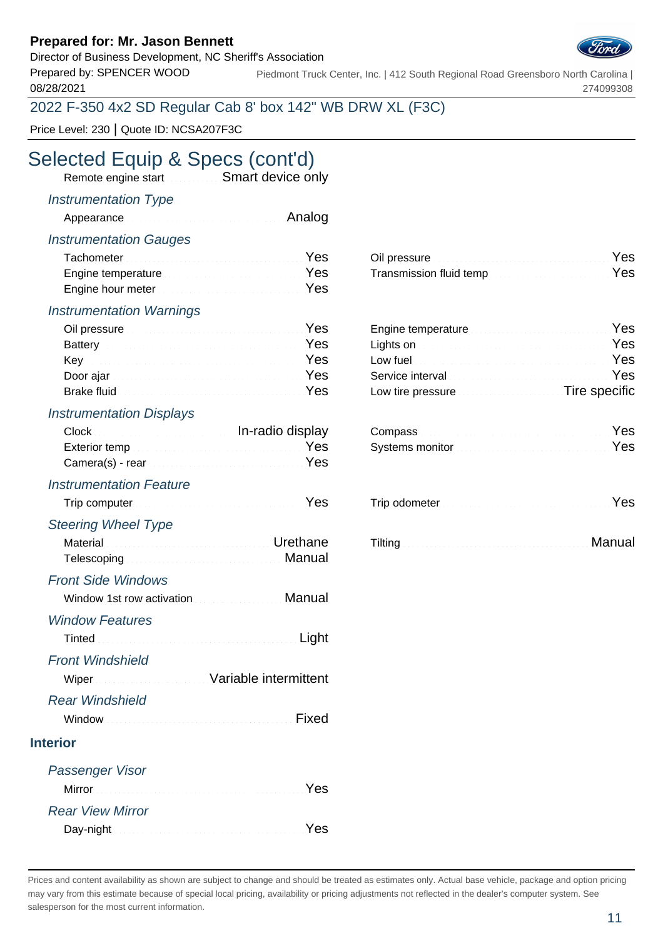Director of Business Development, NC Sheriff's Association

Prepared by: SPENCER WOOD 08/28/2021

Piedmont Truck Center, Inc. | 412 South Regional Road Greensboro North Carolina | 274099308

## 2022 F-350 4x2 SD Regular Cab 8' box 142" WB DRW XL (F3C)

Price Level: 230 | Quote ID: NCSA207F3C

# Selected Equip & Specs (cont'd)

Remote engine start **Smart device only** 

### Instrumentation Type

|  | Appearance <b>Manual Analog</b> |
|--|---------------------------------|
|--|---------------------------------|

### Instrumentation Gauges

| Tachometer <b>Election Construction Construction</b> Yes | Oil pressure <b>Election Contract Contract of Contract Pres</b>                                 |  |
|----------------------------------------------------------|-------------------------------------------------------------------------------------------------|--|
|                                                          | Engine temperature entitled and the Second State of the Second State of Transmission fluid temp |  |
| Engine hour meter <b>Expansion Community</b> Pes         |                                                                                                 |  |

### Instrumentation Warnings

| Oil pressure <b>Committee Committee Committee Committee</b> Pres                                                                                                                                                                     | Engine temperature <b>Engine Strategier Strategier Press</b>                                                                                                                                                                         |  |
|--------------------------------------------------------------------------------------------------------------------------------------------------------------------------------------------------------------------------------------|--------------------------------------------------------------------------------------------------------------------------------------------------------------------------------------------------------------------------------------|--|
| Battery <b>Executive Committee Committee Committee Committee Pres</b>                                                                                                                                                                | Lights on <b>Executive Contract Contract on the Press</b>                                                                                                                                                                            |  |
|                                                                                                                                                                                                                                      | Low fuel <b>Executive Contract Contract Contract Contract Contract Contract Contract Contract Contract Contract Contract Contract Contract Contract Contract Contract Contract Contract Contract Contract Contract Contract Cont</b> |  |
| Door ajar                                                                                                                                                                                                                            | Service interval <b>Service Contract Contract of Contract Contract Contract Contract Contract Contract Contract Contract Contract Contract Contract Contract Contract Contract Contract Contract Contract Contract Contract Cont</b> |  |
| Brake fluid <b>Executive Contract Contract of Contract Contract Contract Contract Contract Contract Contract Contract Contract Contract Contract Contract Contract Contract Contract Contract Contract Contract Contract Contrac</b> | Low tire pressure <b>Example 20</b> Tire specific                                                                                                                                                                                    |  |

### Instrumentation Displays

| Clock Clock Clock Clock Clock Clock Clock Clock Clock Clock Clock Clock Clock Clock Clock Clock Clock Clock Clock Clock Clock Clock Clock Clock Clock Clock Clock Clock Clock Clock Clock Clock Clock Clock Clock Clock Clock |                                                                                                                                                                                                                                    | Yes |
|-------------------------------------------------------------------------------------------------------------------------------------------------------------------------------------------------------------------------------|------------------------------------------------------------------------------------------------------------------------------------------------------------------------------------------------------------------------------------|-----|
|                                                                                                                                                                                                                               | <b>Systems monitor</b> entertainment and the system of the system of the system of the system of the system of the system of the system of the system of the system of the system of the system of the system of the system of the | Yes |
| Camera(s) - rear manufacturers and the Ves                                                                                                                                                                                    |                                                                                                                                                                                                                                    |     |

### Instrumentation Feature

Trip computer Material Account of Trip Computer West

# Steering Wheel Type

| Telescoping Manual Communication of Manual |  |
|--------------------------------------------|--|
|                                            |  |

# Front Side Windows

Window 1st row activation Manual Manual Window Features

|                         | Tinted <b>Executive Community Community</b> Contract to Light |
|-------------------------|---------------------------------------------------------------|
| <b>Front Windshield</b> |                                                               |
|                         | Wiper Wiper Wiper Manual Museum Variable intermittent         |
| <b>Rear Windshield</b>  |                                                               |

# Window Fixed

#### **Interior**

| <b>Passenger Visor</b>  |     |
|-------------------------|-----|
|                         | Yes |
| <b>Rear View Mirror</b> |     |
|                         | Yes |

|                                               | Oil pressure <b>Executive Community Contract Pressure</b> |  |
|-----------------------------------------------|-----------------------------------------------------------|--|
| Engine temperature in the contract of the Yes |                                                           |  |

| Engine temperature <b>Committee Committee Press</b>                                                                                                                                                                                  |  |
|--------------------------------------------------------------------------------------------------------------------------------------------------------------------------------------------------------------------------------------|--|
| Lights on <b>Executive Contract Contract on the Press</b>                                                                                                                                                                            |  |
| Low fuel <b>Executive Contract Contract Contract Contract Contract Contract Contract Contract Contract Contract Contract Contract Contract Contract Contract Contract Contract Contract Contract Contract Contract Contract Cont</b> |  |
| Service interval <b>Service Community Control</b> Press                                                                                                                                                                              |  |
| Low tire pressure <b>Exercise Exercise Tire specific</b>                                                                                                                                                                             |  |

| Compass <b>Executive Compass</b> (2011) 2014 11:30 Million 2014 |  |  |  |
|-----------------------------------------------------------------|--|--|--|
| Systems monitor <b>Election Contract Contract Press</b>         |  |  |  |

| Material <b>Material Commission Commission</b> Urethane | Tilting <b>Election Commission</b> Commission Commission Manual |
|---------------------------------------------------------|-----------------------------------------------------------------|
|                                                         |                                                                 |